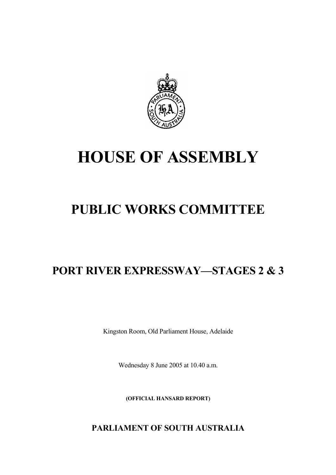

# **HOUSE OF ASSEMBLY**

# **PUBLIC WORKS COMMITTEE**

# **PORT RIVER EXPRESSWAY—STAGES 2 & 3**

Kingston Room, Old Parliament House, Adelaide

Wednesday 8 June 2005 at 10.40 a.m.

**(OFFICIAL HANSARD REPORT)** 

**PARLIAMENT OF SOUTH AUSTRALIA**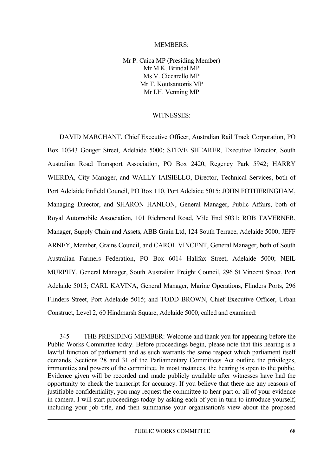### MEMBERS:

Mr P. Caica MP (Presiding Member) Mr M.K. Brindal MP Ms V. Ciccarello MP Mr T. Koutsantonis MP Mr I.H. Venning MP

### WITNESSES:

DAVID MARCHANT, Chief Executive Officer, Australian Rail Track Corporation, PO Box 10343 Gouger Street, Adelaide 5000; STEVE SHEARER, Executive Director, South Australian Road Transport Association, PO Box 2420, Regency Park 5942; HARRY WIERDA, City Manager, and WALLY IAISIELLO, Director, Technical Services, both of Port Adelaide Enfield Council, PO Box 110, Port Adelaide 5015; JOHN FOTHERINGHAM, Managing Director, and SHARON HANLON, General Manager, Public Affairs, both of Royal Automobile Association, 101 Richmond Road, Mile End 5031; ROB TAVERNER, Manager, Supply Chain and Assets, ABB Grain Ltd, 124 South Terrace, Adelaide 5000; JEFF ARNEY, Member, Grains Council, and CAROL VINCENT, General Manager, both of South Australian Farmers Federation, PO Box 6014 Halifax Street, Adelaide 5000; NEIL MURPHY, General Manager, South Australian Freight Council, 296 St Vincent Street, Port Adelaide 5015; CARL KAVINA, General Manager, Marine Operations, Flinders Ports, 296 Flinders Street, Port Adelaide 5015; and TODD BROWN, Chief Executive Officer, Urban Construct, Level 2, 60 Hindmarsh Square, Adelaide 5000, called and examined:

345 THE PRESIDING MEMBER: Welcome and thank you for appearing before the Public Works Committee today. Before proceedings begin, please note that this hearing is a lawful function of parliament and as such warrants the same respect which parliament itself demands. Sections 28 and 31 of the Parliamentary Committees Act outline the privileges, immunities and powers of the committee. In most instances, the hearing is open to the public. Evidence given will be recorded and made publicly available after witnesses have had the opportunity to check the transcript for accuracy. If you believe that there are any reasons of justifiable confidentiality, you may request the committee to hear part or all of your evidence in camera. I will start proceedings today by asking each of you in turn to introduce yourself, including your job title, and then summarise your organisation's view about the proposed

PUBLIC WORKS COMMITTEE 68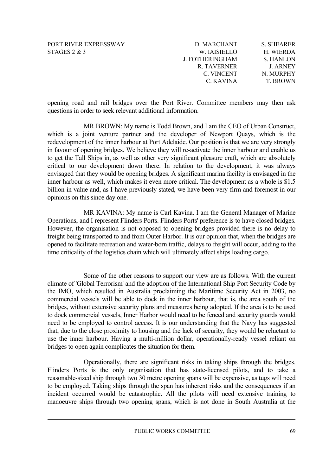| D. MARCHANT            | <b>S. SHEARER</b> |
|------------------------|-------------------|
| W. IAISIELLO           | H. WIERDA         |
| <b>J. FOTHERINGHAM</b> | <b>S. HANLON</b>  |
| R. TAVERNER            | <b>J ARNEY</b>    |
| C. VINCENT             | N. MURPHY         |
| C. KAVINA              | <b>T. BROWN</b>   |
|                        |                   |

opening road and rail bridges over the Port River. Committee members may then ask questions in order to seek relevant additional information.

MR BROWN: My name is Todd Brown, and I am the CEO of Urban Construct, which is a joint venture partner and the developer of Newport Quays, which is the redevelopment of the inner harbour at Port Adelaide. Our position is that we are very strongly in favour of opening bridges. We believe they will re-activate the inner harbour and enable us to get the Tall Ships in, as well as other very significant pleasure craft, which are absolutely critical to our development down there. In relation to the development, it was always envisaged that they would be opening bridges. A significant marina facility is envisaged in the inner harbour as well, which makes it even more critical. The development as a whole is \$1.5 billion in value and, as I have previously stated, we have been very firm and foremost in our opinions on this since day one.

MR KAVINA: My name is Carl Kavina. I am the General Manager of Marine Operations, and I represent Flinders Ports. Flinders Ports' preference is to have closed bridges. However, the organisation is not opposed to opening bridges provided there is no delay to freight being transported to and from Outer Harbor. It is our opinion that, when the bridges are opened to facilitate recreation and water-born traffic, delays to freight will occur, adding to the time criticality of the logistics chain which will ultimately affect ships loading cargo.

use the inner harbour. Having a multi-million dollar, operationally-ready vessel reliant on bridges to open again complicates the situation for them. Some of the other reasons to support our view are as follows. With the current climate of 'Global Terrorism' and the adoption of the International Ship Port Security Code by the IMO, which resulted in Australia proclaiming the Maritime Security Act in 2003, no commercial vessels will be able to dock in the inner harbour, that is, the area south of the bridges, without extensive security plans and measures being adopted. If the area is to be used to dock commercial vessels, Inner Harbor would need to be fenced and security guards would need to be employed to control access. It is our understanding that the Navy has suggested that, due to the close proximity to housing and the lack of security, they would be reluctant to

Operationally, there are significant risks in taking ships through the bridges. Flinders Ports is the only organisation that has state-licensed pilots, and to take a reasonable-sized ship through two 30 metre opening spans will be expensive, as tugs will need to be employed. Taking ships through the span has inherent risks and the consequences if an incident occurred would be catastrophic. All the pilots will need extensive training to manoeuvre ships through two opening spans, which is not done in South Australia at the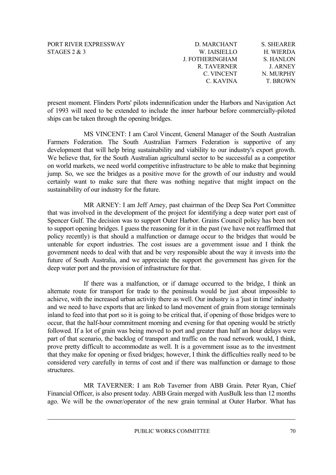| D. MARCHANT     | <b>S. SHEARER</b> |
|-----------------|-------------------|
| W. IAISIELLO    | H. WIERDA         |
| J. FOTHERINGHAM | S. HANLON         |
| R. TAVERNER     | <b>J. ARNEY</b>   |
| C. VINCENT      | N. MURPHY         |
| C. KAVINA       | <b>T BROWN</b>    |
|                 |                   |

of 1993 will need to be extended to include the inner harbour before commercially-piloted ships can be taken through the opening bridges. present moment. Flinders Ports' pilots indemnification under the Harbors and Navigation Act

certainly want to make sure that there was nothing negative that might impact on the sustainability of our industry for the future. MS VINCENT: I am Carol Vincent, General Manager of the South Australian Farmers Federation. The South Australian Farmers Federation is supportive of any development that will help bring sustainability and viability to our industry's export growth. We believe that, for the South Australian agricultural sector to be successful as a competitor on world markets, we need world competitive infrastructure to be able to make that beginning jump. So, we see the bridges as a positive move for the growth of our industry and would

future of South Australia, and we appreciate the support the government has given for the deep water port and the provision of infrastructure for that. MR ARNEY: I am Jeff Arney, past chairman of the Deep Sea Port Committee that was involved in the development of the project for identifying a deep water port east of Spencer Gulf. The decision was to support Outer Harbor. Grains Council policy has been not to support opening bridges. I guess the reasoning for it in the past (we have not reaffirmed that policy recently) is that should a malfunction or damage occur to the bridges that would be untenable for export industries. The cost issues are a government issue and I think the government needs to deal with that and be very responsible about the way it invests into the

considered very carefully in terms of cost and if there was malfunction or damage to those structures. If there was a malfunction, or if damage occurred to the bridge, I think an alternate route for transport for trade to the peninsula would be just about impossible to achieve, with the increased urban activity there as well. Our industry is a 'just in time' industry and we need to have exports that are linked to land movement of grain from storage terminals inland to feed into that port so it is going to be critical that, if opening of those bridges were to occur, that the half-hour commitment morning and evening for that opening would be strictly followed. If a lot of grain was being moved to port and greater than half an hour delays were part of that scenario, the backlog of transport and traffic on the road network would, I think, prove pretty difficult to accommodate as well. It is a government issue as to the investment that they make for opening or fixed bridges; however, I think the difficulties really need to be

MR TAVERNER: I am Rob Taverner from ABB Grain. Peter Ryan, Chief Financial Officer, is also present today. ABB Grain merged with AusBulk less than 12 months ago. We will be the owner/operator of the new grain terminal at Outer Harbor. What has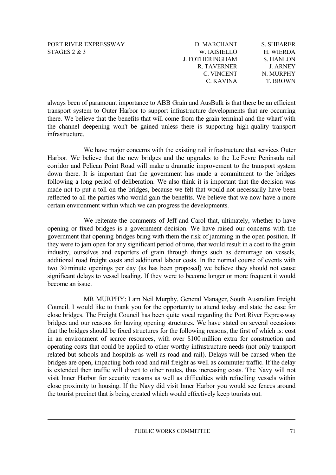| D. MARCHANT            | <b>S. SHEARER</b> |
|------------------------|-------------------|
| W. IAISIELLO           | H. WIERDA         |
| <b>J. FOTHERINGHAM</b> | S. HANLON         |
| R. TAVERNER            | <b>J. ARNEY</b>   |
| C. VINCENT             | N. MURPHY         |
| C. KAVINA              | <b>T. BROWN</b>   |

the channel deepening won't be gained unless there is supporting high-quality transport infrastructure. always been of paramount importance to ABB Grain and AusBulk is that there be an efficient transport system to Outer Harbor to support infrastructure developments that are occurring there. We believe that the benefits that will come from the grain terminal and the wharf with

reflected to all the parties who would gain the benefits. We believe that we now have a more certain environment within which we can progress the developments. We have major concerns with the existing rail infrastructure that services Outer Harbor. We believe that the new bridges and the upgrades to the Le Fevre Peninsula rail corridor and Pelican Point Road will make a dramatic improvement to the transport system down there. It is important that the government has made a commitment to the bridges following a long period of deliberation. We also think it is important that the decision was made not to put a toll on the bridges, because we felt that would not necessarily have been

significant delays to vessel loading. If they were to become longer or more frequent it would become an issue. We reiterate the comments of Jeff and Carol that, ultimately, whether to have opening or fixed bridges is a government decision. We have raised our concerns with the government that opening bridges bring with them the risk of jamming in the open position. If they were to jam open for any significant period of time, that would result in a cost to the grain industry, ourselves and exporters of grain through things such as demurrage on vessels, additional road freight costs and additional labour costs. In the normal course of events with two 30 minute openings per day (as has been proposed) we believe they should not cause

close proximity to housing. If the Navy did visit Inner Harbor you would see fences around the tourist precinct that is being created which would effectively keep tourists out. MR MURPHY: I am Neil Murphy, General Manager, South Australian Freight Council. I would like to thank you for the opportunity to attend today and state the case for close bridges. The Freight Council has been quite vocal regarding the Port River Expressway bridges and our reasons for having opening structures. We have stated on several occasions that the bridges should be fixed structures for the following reasons, the first of which is: cost in an environment of scarce resources, with over \$100 million extra for construction and operating costs that could be applied to other worthy infrastructure needs (not only transport related but schools and hospitals as well as road and rail). Delays will be caused when the bridges are open, impacting both road and rail freight as well as commuter traffic. If the delay is extended then traffic will divert to other routes, thus increasing costs. The Navy will not visit Inner Harbor for security reasons as well as difficulties with refuelling vessels within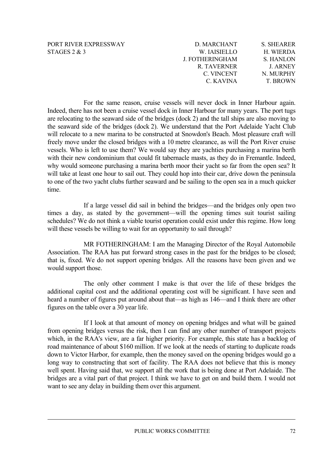| D. MARCHANT            | <b>S. SHEARER</b> |
|------------------------|-------------------|
| W. IAISIELLO           | H. WIERDA         |
| <b>J. FOTHERINGHAM</b> | S. HANLON         |
| R. TAVERNER            | <b>J. ARNEY</b>   |
| C. VINCENT             | N. MURPHY         |
| C. KAVINA              | <b>T. BROWN</b>   |

For the same reason, cruise vessels will never dock in Inner Harbour again. Indeed, there has not been a cruise vessel dock in Inner Harbour for many years. The port tugs are relocating to the seaward side of the bridges (dock 2) and the tall ships are also moving to the seaward side of the bridges (dock 2). We understand that the Port Adelaide Yacht Club will relocate to a new marina to be constructed at Snowdon's Beach. Most pleasure craft will freely move under the closed bridges with a 10 metre clearance, as will the Port River cruise vessels. Who is left to use them? We would say they are yachties purchasing a marina berth with their new condominium that could fit tabernacle masts, as they do in Fremantle. Indeed, why would someone purchasing a marina berth moor their yacht so far from the open sea? It will take at least one hour to sail out. They could hop into their car, drive down the peninsula to one of the two yacht clubs further seaward and be sailing to the open sea in a much quicker time.

If a large vessel did sail in behind the bridges—and the bridges only open two times a day, as stated by the government—will the opening times suit tourist sailing schedules? We do not think a viable tourist operation could exist under this regime. How long will these vessels be willing to wait for an opportunity to sail through?

MR FOTHERINGHAM: I am the Managing Director of the Royal Automobile Association. The RAA has put forward strong cases in the past for the bridges to be closed; that is, fixed. We do not support opening bridges. All the reasons have been given and we would support those.

The only other comment I make is that over the life of these bridges the additional capital cost and the additional operating cost will be significant. I have seen and heard a number of figures put around about that—as high as 146—and I think there are other figures on the table over a 30 year life.

If I look at that amount of money on opening bridges and what will be gained from opening bridges versus the risk, then I can find any other number of transport projects which, in the RAA's view, are a far higher priority. For example, this state has a backlog of road maintenance of about \$160 million. If we look at the needs of starting to duplicate roads down to Victor Harbor, for example, then the money saved on the opening bridges would go a long way to constructing that sort of facility. The RAA does not believe that this is money well spent. Having said that, we support all the work that is being done at Port Adelaide. The bridges are a vital part of that project. I think we have to get on and build them. I would not want to see any delay in building them over this argument.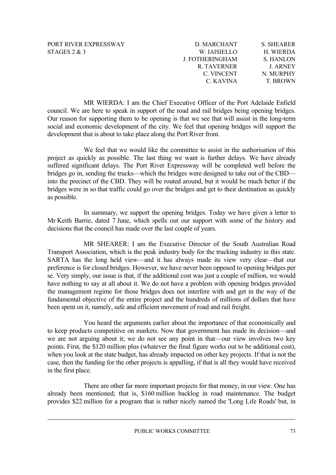| D. MARCHANT            | <b>S. SHEARER</b> |
|------------------------|-------------------|
| W. IAISIELLO           | H. WIERDA         |
| <b>J. FOTHERINGHAM</b> | S. HANLON         |
| R. TAVERNER            | <b>J. ARNEY</b>   |
| C. VINCENT             | N. MURPHY         |
| C. KAVINA              | <b>T. BROWN</b>   |

MR WIERDA: I am the Chief Executive Officer of the Port Adelaide Enfield council. We are here to speak in support of the road and rail bridges being opening bridges. Our reason for supporting them to be opening is that we see that will assist in the long-term social and economic development of the city. We feel that opening bridges will support the development that is about to take place along the Port River front.

We feel that we would like the committee to assist in the authorisation of this project as quickly as possible. The last thing we want is further delays. We have already suffered significant delays. The Port River Expressway will be completed well before the bridges go in, sending the trucks—which the bridges were designed to take out of the CBD into the precinct of the CBD. They will be routed around, but it would be much better if the bridges were in so that traffic could go over the bridges and get to their destination as quickly as possible.

In summary, we support the opening bridges. Today we have given a letter to Mr Keith Barrie, dated 7 June, which spells out our support with some of the history and decisions that the council has made over the last couple of years.

MR SHEARER: I am the Executive Director of the South Australian Road Transport Association, which is the peak industry body for the trucking industry in this state. SARTA has the long held view—and it has always made its view very clear—that our preference is for closed bridges. However, we have never been opposed to opening bridges per se. Very simply, our issue is that, if the additional cost was just a couple of million, we would have nothing to say at all about it. We do not have a problem with opening bridges provided the management regime for those bridges does not interfere with and get in the way of the fundamental objective of the entire project and the hundreds of millions of dollars that have been spent on it, namely, safe and efficient movement of road and rail freight.

You heard the arguments earlier about the importance of that economically and to keep products competitive on markets. Now that government has made its decision—and we are not arguing about it; we do not see any point in that—our view involves two key points. First, the \$120 million plus (whatever the final figure works out to be additional cost), when you look at the state budget, has already impacted on other key projects. If that is not the case, then the funding for the other projects is appalling, if that is all they would have received in the first place.

There are other far more important projects for that money, in our view. One has already been mentioned; that is, \$160 million backlog in road maintenance. The budget provides \$22 million for a program that is rather nicely named the 'Long Life Roads' but, in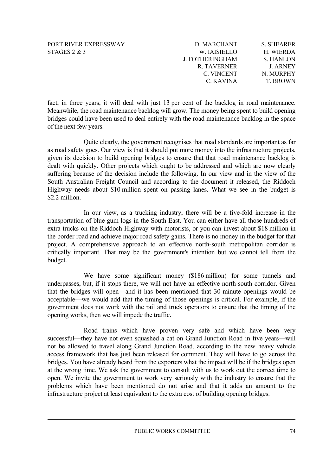| D. MARCHANT     | <b>S. SHEARER</b> |
|-----------------|-------------------|
| W. IAISIELLO    | H. WIERDA         |
| J. FOTHERINGHAM | S. HANLON         |
| R. TAVERNER     | <b>J ARNEY</b>    |
| C. VINCENT      | N. MURPHY         |
| C. KAVINA       | <b>T. BROWN</b>   |
|                 |                   |

fact, in three years, it will deal with just 13 per cent of the backlog in road maintenance. Meanwhile, the road maintenance backlog will grow. The money being spent to build opening bridges could have been used to deal entirely with the road maintenance backlog in the space of the next few years.

Quite clearly, the government recognises that road standards are important as far as road safety goes. Our view is that it should put more money into the infrastructure projects, given its decision to build opening bridges to ensure that that road maintenance backlog is dealt with quickly. Other projects which ought to be addressed and which are now clearly suffering because of the decision include the following. In our view and in the view of the South Australian Freight Council and according to the document it released, the Riddoch Highway needs about \$10 million spent on passing lanes. What we see in the budget is \$2.2 million

In our view, as a trucking industry, there will be a five-fold increase in the transportation of blue gum logs in the South-East. You can either have all those hundreds of extra trucks on the Riddoch Highway with motorists, or you can invest about \$18 million in the border road and achieve major road safety gains. There is no money in the budget for that project. A comprehensive approach to an effective north-south metropolitan corridor is critically important. That may be the government's intention but we cannot tell from the budget.

We have some significant money (\$186 million) for some tunnels and underpasses, but, if it stops there, we will not have an effective north-south corridor. Given that the bridges will open—and it has been mentioned that 30-minute openings would be acceptable—we would add that the timing of those openings is critical. For example, if the government does not work with the rail and truck operators to ensure that the timing of the opening works, then we will impede the traffic.

Road trains which have proven very safe and which have been very successful—they have not even squashed a cat on Grand Junction Road in five years—will not be allowed to travel along Grand Junction Road, according to the new heavy vehicle access framework that has just been released for comment. They will have to go across the bridges. You have already heard from the exporters what the impact will be if the bridges open at the wrong time. We ask the government to consult with us to work out the correct time to open. We invite the government to work very seriously with the industry to ensure that the problems which have been mentioned do not arise and that it adds an amount to the infrastructure project at least equivalent to the extra cost of building opening bridges.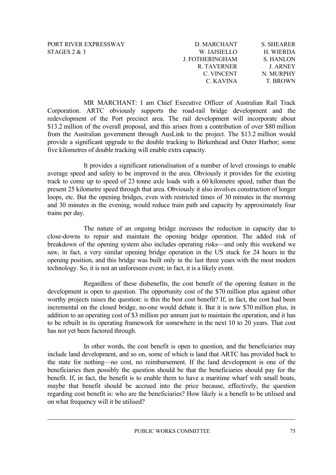| PORT RIVER EXPRESSWAY |
|-----------------------|
| STAGES $2 \& 3$       |

| D. MARCHANT            | <b>S. SHEARER</b> |
|------------------------|-------------------|
| W. IAISIELLO           | H. WIERDA         |
| <b>J. FOTHERINGHAM</b> | S. HANLON         |
| R. TAVERNER            | <b>J. ARNEY</b>   |
| C. VINCENT             | N. MURPHY         |
| C. KAVINA              | <b>T. BROWN</b>   |

MR MARCHANT: I am Chief Executive Officer of Australian Rail Track Corporation. ARTC obviously supports the road-rail bridge development and the redevelopment of the Port precinct area. The rail development will incorporate about \$13.2 million of the overall proposal, and this arises from a contribution of over \$80 million from the Australian government through AusLink to the project. The \$13.2 million would provide a significant upgrade to the double tracking to Birkenhead and Outer Harbor; some five kilometres of double tracking will enable extra capacity.

It provides a significant rationalisation of a number of level crossings to enable average speed and safety to be improved in the area. Obviously it provides for the existing track to come up to speed of 23 tonne axle loads with a 60 kilometre speed, rather than the present 25 kilometre speed through that area. Obviously it also involves construction of longer loops, etc. But the opening bridges, even with restricted times of 30 minutes in the morning and 30 minutes in the evening, would reduce train path and capacity by approximately four trains per day.

The nature of an ongoing bridge increases the reduction in capacity due to close-downs to repair and maintain the opening bridge operation. The added risk of breakdown of the opening system also includes operating risks—and only this weekend we saw, in fact, a very similar opening bridge operation in the US stuck for 24 hours in the opening position, and this bridge was built only in the last three years with the most modern technology. So, it is not an unforeseen event; in fact, it is a likely event.

Regardless of these disbenefits, the cost benefit of the opening feature in the development is open to question. The opportunity cost of the \$70 million plus against other worthy projects raises the question: is this the best cost benefit? If, in fact, the cost had been incremental on the closed bridge, no-one would debate it. But it is now \$70 million plus, in addition to an operating cost of \$3 million per annum just to maintain the operation, and it has to be rebuilt in its operating framework for somewhere in the next 10 to 20 years. That cost has not yet been factored through.

In other words, the cost benefit is open to question, and the beneficiaries may include land development, and so on, some of which is land that ARTC has provided back to the state for nothing—no cost, no reimbursement. If the land development is one of the beneficiaries then possibly the question should be that the beneficiaries should pay for the benefit. If, in fact, the benefit is to enable them to have a maritime wharf with small boats, maybe that benefit should be accrued into the price because, effectively, the question regarding cost benefit is: who are the beneficiaries? How likely is a benefit to be utilised and on what frequency will it be utilised?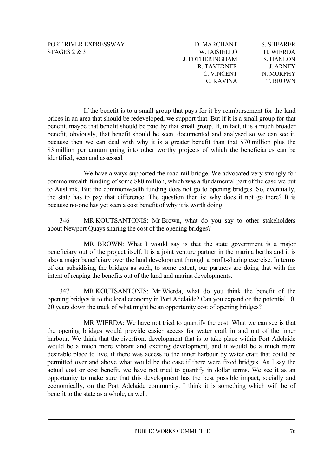| D. MARCHANT     | <b>S. SHEARER</b> |
|-----------------|-------------------|
| W. IAISIELLO    | H. WIERDA         |
| J. FOTHERINGHAM | S. HANLON         |
| R. TAVERNER     | <b>J. ARNEY</b>   |
| C. VINCENT      | N. MURPHY         |
| C. KAVINA       | <b>T. BROWN</b>   |

If the benefit is to a small group that pays for it by reimbursement for the land prices in an area that should be redeveloped, we support that. But if it is a small group for that benefit, maybe that benefit should be paid by that small group. If, in fact, it is a much broader benefit, obviously, that benefit should be seen, documented and analysed so we can see it, because then we can deal with why it is a greater benefit than that \$70 million plus the \$3 million per annum going into other worthy projects of which the beneficiaries can be identified, seen and assessed.

We have always supported the road rail bridge. We advocated very strongly for commonwealth funding of some \$80 million, which was a fundamental part of the case we put to AusLink. But the commonwealth funding does not go to opening bridges. So, eventually, the state has to pay that difference. The question then is: why does it not go there? It is because no-one has yet seen a cost benefit of why it is worth doing.

346 MR KOUTSANTONIS: Mr Brown, what do you say to other stakeholders about Newport Quays sharing the cost of the opening bridges?

MR BROWN: What I would say is that the state government is a major beneficiary out of the project itself. It is a joint venture partner in the marina berths and it is also a major beneficiary over the land development through a profit-sharing exercise. In terms of our subsidising the bridges as such, to some extent, our partners are doing that with the intent of reaping the benefits out of the land and marina developments.

347 MR KOUTSANTONIS: Mr Wierda, what do you think the benefit of the opening bridges is to the local economy in Port Adelaide? Can you expand on the potential 10, 20 years down the track of what might be an opportunity cost of opening bridges?

MR WIERDA: We have not tried to quantify the cost. What we can see is that the opening bridges would provide easier access for water craft in and out of the inner harbour. We think that the riverfront development that is to take place within Port Adelaide would be a much more vibrant and exciting development, and it would be a much more desirable place to live, if there was access to the inner harbour by water craft that could be permitted over and above what would be the case if there were fixed bridges. As I say the actual cost or cost benefit, we have not tried to quantify in dollar terms. We see it as an opportunity to make sure that this development has the best possible impact, socially and economically, on the Port Adelaide community. I think it is something which will be of benefit to the state as a whole, as well.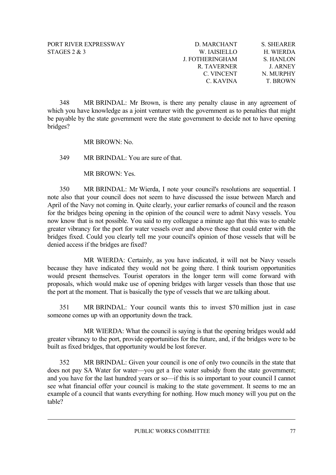| D. MARCHANT            | <b>S. SHEARER</b> |
|------------------------|-------------------|
| W. IAISIELLO           | H. WIERDA         |
| <b>J. FOTHERINGHAM</b> | S. HANLON         |
| R. TAVERNER            | <b>J. ARNEY</b>   |
| C. VINCENT             | N. MURPHY         |
| C. KAVINA              | <b>T. BROWN</b>   |

348 MR BRINDAL: Mr Brown, is there any penalty clause in any agreement of which you have knowledge as a joint venturer with the government as to penalties that might be payable by the state government were the state government to decide not to have opening bridges?

MR BROWN: No.

349 MR BRINDAL: You are sure of that.

MR BROWN: Yes.

350 MR BRINDAL: Mr Wierda, I note your council's resolutions are sequential. I note also that your council does not seem to have discussed the issue between March and April of the Navy not coming in. Quite clearly, your earlier remarks of council and the reason for the bridges being opening in the opinion of the council were to admit Navy vessels. You now know that is not possible. You said to my colleague a minute ago that this was to enable greater vibrancy for the port for water vessels over and above those that could enter with the bridges fixed. Could you clearly tell me your council's opinion of those vessels that will be denied access if the bridges are fixed?

MR WIERDA: Certainly, as you have indicated, it will not be Navy vessels because they have indicated they would not be going there. I think tourism opportunities would present themselves. Tourist operators in the longer term will come forward with proposals, which would make use of opening bridges with larger vessels than those that use the port at the moment. That is basically the type of vessels that we are talking about.

351 MR BRINDAL: Your council wants this to invest \$70 million just in case someone comes up with an opportunity down the track.

MR WIERDA: What the council is saying is that the opening bridges would add greater vibrancy to the port, provide opportunities for the future, and, if the bridges were to be built as fixed bridges, that opportunity would be lost forever.

352 MR BRINDAL: Given your council is one of only two councils in the state that does not pay SA Water for water—you get a free water subsidy from the state government; and you have for the last hundred years or so—if this is so important to your council I cannot see what financial offer your council is making to the state government. It seems to me an example of a council that wants everything for nothing. How much money will you put on the table?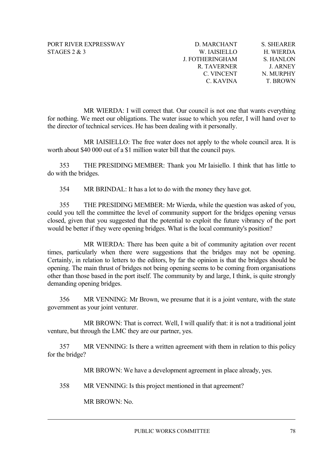| D. MARCHANT     | <b>S. SHEARER</b> |
|-----------------|-------------------|
| W. IAISIELLO    | H. WIERDA         |
| J. FOTHERINGHAM | S. HANLON         |
| R. TAVERNER     | <b>J ARNEY</b>    |
| C. VINCENT      | N. MURPHY         |
| C. KAVINA       | <b>T. BROWN</b>   |
|                 |                   |

MR WIERDA: I will correct that. Our council is not one that wants everything for nothing. We meet our obligations. The water issue to which you refer, I will hand over to the director of technical services. He has been dealing with it personally.

MR IAISIELLO: The free water does not apply to the whole council area. It is worth about \$40 000 out of a \$1 million water bill that the council pays.

353 THE PRESIDING MEMBER: Thank you Mr Iaisiello. I think that has little to do with the bridges.

354 MR BRINDAL: It has a lot to do with the money they have got.

355 THE PRESIDING MEMBER: Mr Wierda, while the question was asked of you, could you tell the committee the level of community support for the bridges opening versus closed, given that you suggested that the potential to exploit the future vibrancy of the port would be better if they were opening bridges. What is the local community's position?

MR WIERDA: There has been quite a bit of community agitation over recent times, particularly when there were suggestions that the bridges may not be opening. Certainly, in relation to letters to the editors, by far the opinion is that the bridges should be opening. The main thrust of bridges not being opening seems to be coming from organisations other than those based in the port itself. The community by and large, I think, is quite strongly demanding opening bridges.

356 MR VENNING: Mr Brown, we presume that it is a joint venture, with the state government as your joint venturer.

MR BROWN: That is correct. Well, I will qualify that: it is not a traditional joint venture, but through the LMC they are our partner, yes.

357 MR VENNING: Is there a written agreement with them in relation to this policy for the bridge?

MR BROWN: We have a development agreement in place already, yes.

358 MR VENNING: Is this project mentioned in that agreement?

MR BROWN: No.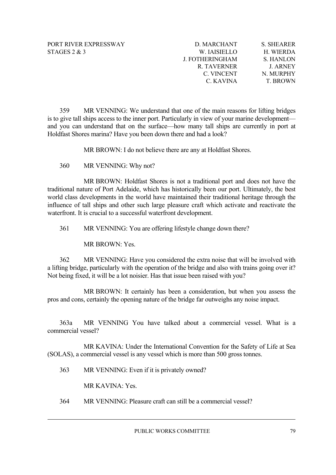| D. MARCHANT     | <b>S. SHEARER</b> |
|-----------------|-------------------|
| W. IAISIELLO    | H. WIERDA         |
| J. FOTHERINGHAM | S. HANLON         |
| R. TAVERNER     | <b>J ARNEY</b>    |
| C. VINCENT      | N. MURPHY         |
| C. KAVINA       | <b>T. BROWN</b>   |
|                 |                   |

359 MR VENNING: We understand that one of the main reasons for lifting bridges is to give tall ships access to the inner port. Particularly in view of your marine development and you can understand that on the surface—how many tall ships are currently in port at Holdfast Shores marina? Have you been down there and had a look?

MR BROWN: I do not believe there are any at Holdfast Shores.

360 MR VENNING: Why not?

MR BROWN: Holdfast Shores is not a traditional port and does not have the traditional nature of Port Adelaide, which has historically been our port. Ultimately, the best world class developments in the world have maintained their traditional heritage through the influence of tall ships and other such large pleasure craft which activate and reactivate the waterfront. It is crucial to a successful waterfront development.

361 MR VENNING: You are offering lifestyle change down there?

MR BROWN: Yes.

362 MR VENNING: Have you considered the extra noise that will be involved with a lifting bridge, particularly with the operation of the bridge and also with trains going over it? Not being fixed, it will be a lot noisier. Has that issue been raised with you?

MR BROWN: It certainly has been a consideration, but when you assess the pros and cons, certainly the opening nature of the bridge far outweighs any noise impact.

363a MR VENNING You have talked about a commercial vessel. What is a commercial vessel?

MR KAVINA: Under the International Convention for the Safety of Life at Sea (SOLAS), a commercial vessel is any vessel which is more than 500 gross tonnes.

363 MR VENNING: Even if it is privately owned?

MR KAVINA: Yes.

364 MR VENNING: Pleasure craft can still be a commercial vessel?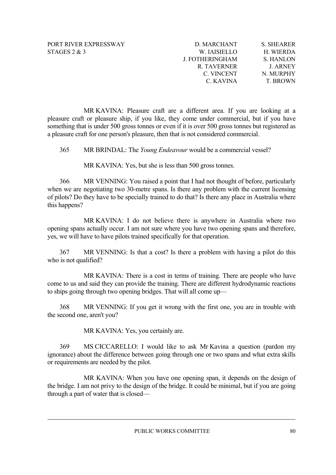| D. MARCHANT     | <b>S. SHEARER</b> |
|-----------------|-------------------|
| W. IAISIELLO    | H. WIERDA         |
| J. FOTHERINGHAM | S. HANLON         |
| R. TAVERNER     | <b>J ARNEY</b>    |
| C. VINCENT      | N. MURPHY         |
| C. KAVINA       | <b>T. BROWN</b>   |
|                 |                   |

MR KAVINA: Pleasure craft are a different area. If you are looking at a pleasure craft or pleasure ship, if you like, they come under commercial, but if you have something that is under 500 gross tonnes or even if it is over 500 gross tonnes but registered as a pleasure craft for one person's pleasure, then that is not considered commercial.

365 MR BRINDAL: The *Young Endeavour* would be a commercial vessel?

MR KAVINA: Yes, but she is less than 500 gross tonnes.

366 MR VENNING: You raised a point that I had not thought of before, particularly when we are negotiating two 30-metre spans. Is there any problem with the current licensing of pilots? Do they have to be specially trained to do that? Is there any place in Australia where this happens?

MR KAVINA: I do not believe there is anywhere in Australia where two opening spans actually occur. I am not sure where you have two opening spans and therefore, yes, we will have to have pilots trained specifically for that operation.

367 MR VENNING: Is that a cost? Is there a problem with having a pilot do this who is not qualified?

MR KAVINA: There is a cost in terms of training. There are people who have come to us and said they can provide the training. There are different hydrodynamic reactions to ships going through two opening bridges. That will all come up—

368 MR VENNING: If you get it wrong with the first one, you are in trouble with the second one, aren't you?

MR KAVINA: Yes, you certainly are.

369 MS CICCARELLO: I would like to ask Mr Kavina a question (pardon my ignorance) about the difference between going through one or two spans and what extra skills or requirements are needed by the pilot.

MR KAVINA: When you have one opening span, it depends on the design of the bridge. I am not privy to the design of the bridge. It could be minimal, but if you are going through a part of water that is closed—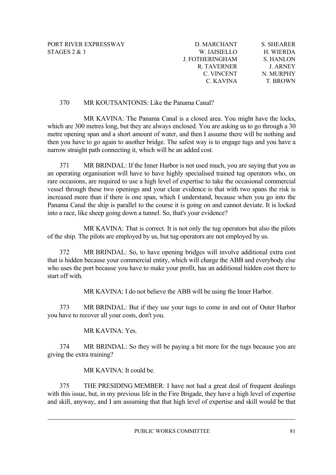| D. MARCHANT     | <b>S. SHEARER</b> |
|-----------------|-------------------|
| W. IAISIELLO    | H. WIERDA         |
| J. FOTHERINGHAM | S. HANLON         |
| R. TAVERNER     | <b>J. ARNEY</b>   |
| C. VINCENT      | N. MURPHY         |
| C. KAVINA       | <b>T. BROWN</b>   |

# 370 MR KOUTSANTONIS: Like the Panama Canal?

MR KAVINA: The Panama Canal is a closed area. You might have the locks, which are 300 metres long, but they are always enclosed. You are asking us to go through a 30 metre opening span and a short amount of water, and then I assume there will be nothing and then you have to go again to another bridge. The safest way is to engage tugs and you have a narrow straight path connecting it, which will be an added cost.

371 MR BRINDAL: If the Inner Harbor is not used much, you are saying that you as an operating organisation will have to have highly specialised trained tug operators who, on rare occasions, are required to use a high level of expertise to take the occasional commercial vessel through these two openings and your clear evidence is that with two spans the risk is increased more than if there is one span, which I understand, because when you go into the Panama Canal the ship is parallel to the course it is going on and cannot deviate. It is locked into a race, like sheep going down a tunnel. So, that's your evidence?

MR KAVINA: That is correct. It is not only the tug operators but also the pilots of the ship. The pilots are employed by us, but tug operators are not employed by us.

372 MR BRINDAL: So, to have opening bridges will involve additional extra cost that is hidden because your commercial entity, which will charge the ABB and everybody else who uses the port because you have to make your profit, has an additional hidden cost there to start off with.

MR KAVINA: I do not believe the ABB will be using the Inner Harbor.

373 MR BRINDAL: But if they use your tugs to come in and out of Outer Harbor you have to recover all your costs, don't you.

# MR KAVINA: Yes.

374 MR BRINDAL: So they will be paying a bit more for the tugs because you are giving the extra training?

# MR KAVINA: It could be.

375 THE PRESIDING MEMBER: I have not had a great deal of frequent dealings with this issue, but, in my previous life in the Fire Brigade, they have a high level of expertise and skill, anyway, and I am assuming that that high level of expertise and skill would be that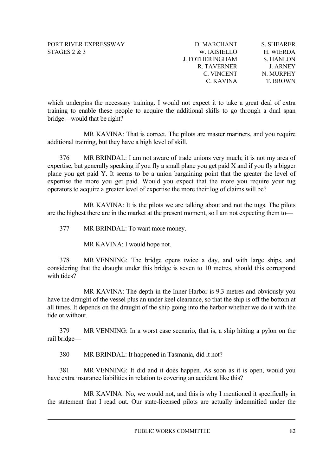| D. MARCHANT            | <b>S. SHEARER</b> |
|------------------------|-------------------|
| W. IAISIELLO           | H. WIERDA         |
| <b>J. FOTHERINGHAM</b> | S. HANLON         |
| R. TAVERNER            | <b>J. ARNEY</b>   |
| C. VINCENT             | N. MURPHY         |
| C. KAVINA              | <b>T. BROWN</b>   |

which underpins the necessary training. I would not expect it to take a great deal of extra training to enable these people to acquire the additional skills to go through a dual span bridge—would that be right?

MR KAVINA: That is correct. The pilots are master mariners, and you require additional training, but they have a high level of skill.

376 MR BRINDAL: I am not aware of trade unions very much; it is not my area of expertise, but generally speaking if you fly a small plane you get paid X and if you fly a bigger plane you get paid Y. It seems to be a union bargaining point that the greater the level of expertise the more you get paid. Would you expect that the more you require your tug operators to acquire a greater level of expertise the more their log of claims will be?

MR KAVINA: It is the pilots we are talking about and not the tugs. The pilots are the highest there are in the market at the present moment, so I am not expecting them to—

377 MR BRINDAL: To want more money.

MR KAVINA: I would hope not.

378 MR VENNING: The bridge opens twice a day, and with large ships, and considering that the draught under this bridge is seven to 10 metres, should this correspond with tides?

MR KAVINA: The depth in the Inner Harbor is 9.3 metres and obviously you have the draught of the vessel plus an under keel clearance, so that the ship is off the bottom at all times. It depends on the draught of the ship going into the harbor whether we do it with the tide or without.

379 MR VENNING: In a worst case scenario, that is, a ship hitting a pylon on the rail bridge—

380 MR BRINDAL: It happened in Tasmania, did it not?

381 MR VENNING: It did and it does happen. As soon as it is open, would you have extra insurance liabilities in relation to covering an accident like this?

MR KAVINA: No, we would not, and this is why I mentioned it specifically in the statement that I read out. Our state-licensed pilots are actually indemnified under the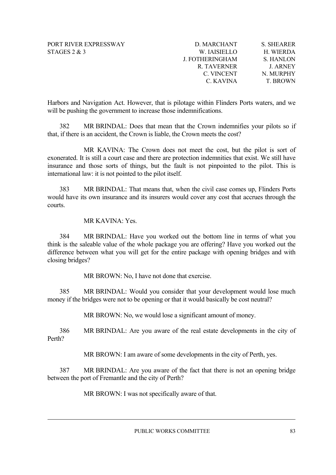| D. MARCHANT        | <b>S. SHEARER</b> |
|--------------------|-------------------|
| W. IAISIELLO       | H. WIERDA         |
| J. FOTHERINGHAM    | <b>S. HANLON</b>  |
| <b>R. TAVERNER</b> | <b>J. ARNEY</b>   |
| C. VINCENT         | N. MURPHY         |
| C. KAVINA          | <b>T. BROWN</b>   |

Harbors and Navigation Act. However, that is pilotage within Flinders Ports waters, and we will be pushing the government to increase those indemnifications.

382 MR BRINDAL: Does that mean that the Crown indemnifies your pilots so if that, if there is an accident, the Crown is liable, the Crown meets the cost?

MR KAVINA: The Crown does not meet the cost, but the pilot is sort of exonerated. It is still a court case and there are protection indemnities that exist. We still have insurance and those sorts of things, but the fault is not pinpointed to the pilot. This is international law: it is not pointed to the pilot itself.

383 MR BRINDAL: That means that, when the civil case comes up, Flinders Ports would have its own insurance and its insurers would cover any cost that accrues through the courts.

MR KAVINA: Yes.

384 MR BRINDAL: Have you worked out the bottom line in terms of what you think is the saleable value of the whole package you are offering? Have you worked out the difference between what you will get for the entire package with opening bridges and with closing bridges?

MR BROWN: No, I have not done that exercise.

385 MR BRINDAL: Would you consider that your development would lose much money if the bridges were not to be opening or that it would basically be cost neutral?

MR BROWN: No, we would lose a significant amount of money.

386 MR BRINDAL: Are you aware of the real estate developments in the city of Perth?

MR BROWN: I am aware of some developments in the city of Perth, yes.

387 MR BRINDAL: Are you aware of the fact that there is not an opening bridge between the port of Fremantle and the city of Perth?

MR BROWN: I was not specifically aware of that.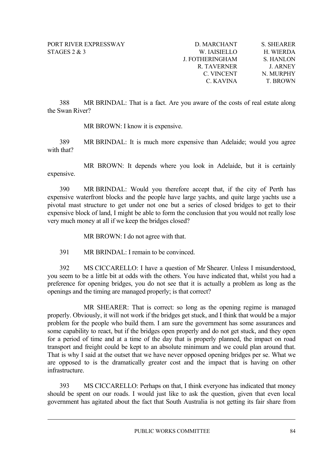| D. MARCHANT            | S. SHEARER      |
|------------------------|-----------------|
| W. IAISIELLO           | H. WIERDA       |
| <b>J. FOTHERINGHAM</b> | S. HANLON       |
| R. TAVERNER            | <b>J. ARNEY</b> |
| C. VINCENT             | N. MURPHY       |
| C. KAVINA              | <b>T. BROWN</b> |

388 MR BRINDAL: That is a fact. Are you aware of the costs of real estate along the Swan River?

MR BROWN: I know it is expensive.

389 MR BRINDAL: It is much more expensive than Adelaide; would you agree with that?

MR BROWN: It depends where you look in Adelaide, but it is certainly expensive.

390 MR BRINDAL: Would you therefore accept that, if the city of Perth has expensive waterfront blocks and the people have large yachts, and quite large yachts use a pivotal mast structure to get under not one but a series of closed bridges to get to their expensive block of land, I might be able to form the conclusion that you would not really lose very much money at all if we keep the bridges closed?

MR BROWN: I do not agree with that.

391 MR BRINDAL: I remain to be convinced.

392 MS CICCARELLO: I have a question of Mr Shearer. Unless I misunderstood, you seem to be a little bit at odds with the others. You have indicated that, whilst you had a preference for opening bridges, you do not see that it is actually a problem as long as the openings and the timing are managed properly; is that correct?

MR SHEARER: That is correct: so long as the opening regime is managed properly. Obviously, it will not work if the bridges get stuck, and I think that would be a major problem for the people who build them. I am sure the government has some assurances and some capability to react, but if the bridges open properly and do not get stuck, and they open for a period of time and at a time of the day that is properly planned, the impact on road transport and freight could be kept to an absolute minimum and we could plan around that. That is why I said at the outset that we have never opposed opening bridges per se. What we are opposed to is the dramatically greater cost and the impact that is having on other infrastructure.

393 MS CICCARELLO: Perhaps on that, I think everyone has indicated that money should be spent on our roads. I would just like to ask the question, given that even local government has agitated about the fact that South Australia is not getting its fair share from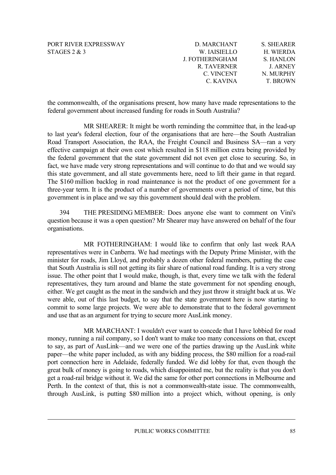| D. MARCHANT            | <b>S. SHEARER</b> |
|------------------------|-------------------|
| W. IAISIELLO           | H. WIERDA         |
| <b>J. FOTHERINGHAM</b> | S. HANLON         |
| R. TAVERNER            | <b>J. ARNEY</b>   |
| C. VINCENT             | N. MURPHY         |
| C. KAVINA              | <b>T. BROWN</b>   |

the commonwealth, of the organisations present, how many have made representations to the federal government about increased funding for roads in South Australia?

MR SHEARER: It might be worth reminding the committee that, in the lead-up to last year's federal election, four of the organisations that are here—the South Australian Road Transport Association, the RAA, the Freight Council and Business SA—ran a very effective campaign at their own cost which resulted in \$118 million extra being provided by the federal government that the state government did not even get close to securing. So, in fact, we have made very strong representations and will continue to do that and we would say this state government, and all state governments here, need to lift their game in that regard. The \$160 million backlog in road maintenance is not the product of one government for a three-year term. It is the product of a number of governments over a period of time, but this government is in place and we say this government should deal with the problem.

394 THE PRESIDING MEMBER: Does anyone else want to comment on Vini's question because it was a open question? Mr Shearer may have answered on behalf of the four organisations.

MR FOTHERINGHAM: I would like to confirm that only last week RAA representatives were in Canberra. We had meetings with the Deputy Prime Minister, with the minister for roads, Jim Lloyd, and probably a dozen other federal members, putting the case that South Australia is still not getting its fair share of national road funding. It is a very strong issue. The other point that I would make, though, is that, every time we talk with the federal representatives, they turn around and blame the state government for not spending enough, either. We get caught as the meat in the sandwich and they just throw it straight back at us. We were able, out of this last budget, to say that the state government here is now starting to commit to some large projects. We were able to demonstrate that to the federal government and use that as an argument for trying to secure more AusLink money.

MR MARCHANT: I wouldn't ever want to concede that I have lobbied for road money, running a rail company, so I don't want to make too many concessions on that, except to say, as part of AusLink—and we were one of the parties drawing up the AusLink white paper—the white paper included, as with any bidding process, the \$80 million for a road-rail port connection here in Adelaide, federally funded. We did lobby for that, even though the great bulk of money is going to roads, which disappointed me, but the reality is that you don't get a road-rail bridge without it. We did the same for other port connections in Melbourne and Perth. In the context of that, this is not a commonwealth-state issue. The commonwealth, through AusLink, is putting \$80 million into a project which, without opening, is only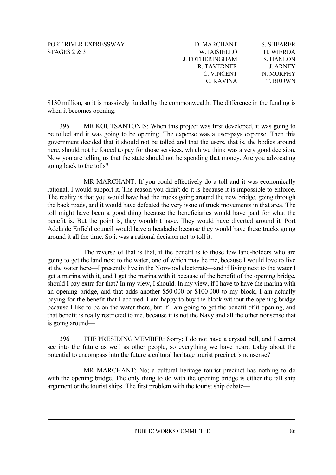| D. MARCHANT            | <b>S. SHEARER</b> |
|------------------------|-------------------|
| W. IAISIELLO           | H. WIERDA         |
| <b>J. FOTHERINGHAM</b> | S. HANLON         |
| R. TAVERNER            | <b>J. ARNEY</b>   |
| C. VINCENT             | N. MURPHY         |
| C. KAVINA              | <b>T. BROWN</b>   |
|                        |                   |

\$130 million, so it is massively funded by the commonwealth. The difference in the funding is when it becomes opening.

395 MR KOUTSANTONIS: When this project was first developed, it was going to be tolled and it was going to be opening. The expense was a user-pays expense. Then this government decided that it should not be tolled and that the users, that is, the bodies around here, should not be forced to pay for those services, which we think was a very good decision. Now you are telling us that the state should not be spending that money. Are you advocating going back to the tolls?

MR MARCHANT: If you could effectively do a toll and it was economically rational, I would support it. The reason you didn't do it is because it is impossible to enforce. The reality is that you would have had the trucks going around the new bridge, going through the back roads, and it would have defeated the very issue of truck movements in that area. The toll might have been a good thing because the beneficiaries would have paid for what the benefit is. But the point is, they wouldn't have. They would have diverted around it, Port Adelaide Enfield council would have a headache because they would have these trucks going around it all the time. So it was a rational decision not to toll it.

The reverse of that is that, if the benefit is to those few land-holders who are going to get the land next to the water, one of which may be me, because I would love to live at the water here—I presently live in the Norwood electorate—and if living next to the water I get a marina with it, and I get the marina with it because of the benefit of the opening bridge, should I pay extra for that? In my view, I should. In my view, if I have to have the marina with an opening bridge, and that adds another \$50 000 or \$100 000 to my block, I am actually paying for the benefit that I accrued. I am happy to buy the block without the opening bridge because I like to be on the water there, but if I am going to get the benefit of it opening, and that benefit is really restricted to me, because it is not the Navy and all the other nonsense that is going around—

396 THE PRESIDING MEMBER: Sorry; I do not have a crystal ball, and I cannot see into the future as well as other people, so everything we have heard today about the potential to encompass into the future a cultural heritage tourist precinct is nonsense?

MR MARCHANT: No; a cultural heritage tourist precinct has nothing to do with the opening bridge. The only thing to do with the opening bridge is either the tall ship argument or the tourist ships. The first problem with the tourist ship debate—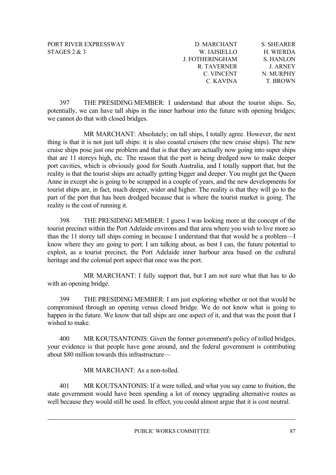| D. MARCHANT     | <b>S. SHEARER</b> |
|-----------------|-------------------|
| W. IAISIELLO    | H. WIERDA         |
| J. FOTHERINGHAM | <b>S. HANLON</b>  |
| R. TAVERNER     | <b>J. ARNEY</b>   |
| C. VINCENT      | N. MURPHY         |
| C. KAVINA       | <b>T. BROWN</b>   |

397 THE PRESIDING MEMBER: I understand that about the tourist ships. So, potentially, we can have tall ships in the inner harbour into the future with opening bridges; we cannot do that with closed bridges.

MR MARCHANT: Absolutely; on tall ships, I totally agree. However, the next thing is that it is not just tall ships: it is also coastal cruisers (the new cruise ships). The new cruise ships pose just one problem and that is that they are actually now going into super ships that are 11 storeys high, etc. The reason that the port is being dredged now to make deeper port cavities, which is obviously good for South Australia, and I totally support that, but the reality is that the tourist ships are actually getting bigger and deeper. You might get the Queen Anne in except she is going to be scrapped in a couple of years, and the new developments for tourist ships are, in fact, much deeper, wider and higher. The reality is that they will go to the part of the port that has been dredged because that is where the tourist market is going. The reality is the cost of running it.

398 THE PRESIDING MEMBER: I guess I was looking more at the concept of the tourist precinct within the Port Adelaide environs and that area where you wish to live more so than the 11 storey tall ships coming in because I understand that that would be a problem—I know where they are going to port. I am talking about, as best I can, the future potential to exploit, as a tourist precinct, the Port Adelaide inner harbour area based on the cultural heritage and the colonial port aspect that once was the port.

MR MARCHANT: I fully support that, but I am not sure what that has to do with an opening bridge.

399 THE PRESIDING MEMBER: I am just exploring whether or not that would be compromised through an opening versus closed bridge. We do not know what is going to happen in the future. We know that tall ships are one aspect of it, and that was the point that I wished to make.

400 MR KOUTSANTONIS: Given the former government's policy of tolled bridges, your evidence is that people have gone around, and the federal government is contributing about \$80 million towards this infrastructure—

MR MARCHANT: As a non-tolled.

401 MR KOUTSANTONIS: If it were tolled, and what you say came to fruition, the state government would have been spending a lot of money upgrading alternative routes as well because they would still be used. In effect, you could almost argue that it is cost neutral.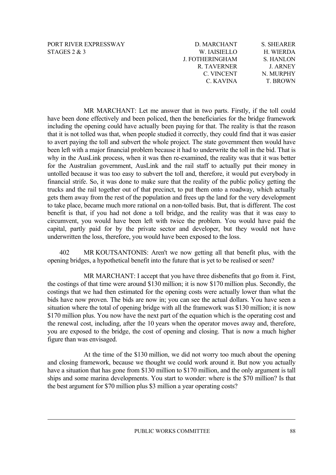| D. MARCHANT            | <b>S. SHEARER</b> |
|------------------------|-------------------|
| W. IAISIELLO           | H. WIERDA         |
| <b>J. FOTHERINGHAM</b> | S. HANLON         |
| R. TAVERNER            | <b>J. ARNEY</b>   |
| C. VINCENT             | N. MURPHY         |
| C. KAVINA              | <b>T. BROWN</b>   |

MR MARCHANT: Let me answer that in two parts. Firstly, if the toll could have been done effectively and been policed, then the beneficiaries for the bridge framework including the opening could have actually been paying for that. The reality is that the reason that it is not tolled was that, when people studied it correctly, they could find that it was easier to avert paying the toll and subvert the whole project. The state government then would have been left with a major financial problem because it had to underwrite the toll in the bid. That is why in the AusLink process, when it was then re-examined, the reality was that it was better for the Australian government, AusLink and the rail staff to actually put their money in untolled because it was too easy to subvert the toll and, therefore, it would put everybody in financial strife. So, it was done to make sure that the reality of the public policy getting the trucks and the rail together out of that precinct, to put them onto a roadway, which actually gets them away from the rest of the population and frees up the land for the very development to take place, became much more rational on a non-tolled basis. But, that is different. The cost benefit is that, if you had not done a toll bridge, and the reality was that it was easy to circumvent, you would have been left with twice the problem. You would have paid the capital, partly paid for by the private sector and developer, but they would not have underwritten the loss, therefore, you would have been exposed to the loss.

402 MR KOUTSANTONIS: Aren't we now getting all that benefit plus, with the opening bridges, a hypothetical benefit into the future that is yet to be realised or seen?

MR MARCHANT: I accept that you have three disbenefits that go from it. First, the costings of that time were around \$130 million; it is now \$170 million plus. Secondly, the costings that we had then estimated for the opening costs were actually lower than what the bids have now proven. The bids are now in; you can see the actual dollars. You have seen a situation where the total of opening bridge with all the framework was \$130 million; it is now \$170 million plus. You now have the next part of the equation which is the operating cost and the renewal cost, including, after the 10 years when the operator moves away and, therefore, you are exposed to the bridge, the cost of opening and closing. That is now a much higher figure than was envisaged.

At the time of the \$130 million, we did not worry too much about the opening and closing framework, because we thought we could work around it. But now you actually have a situation that has gone from \$130 million to \$170 million, and the only argument is tall ships and some marina developments. You start to wonder: where is the \$70 million? Is that the best argument for \$70 million plus \$3 million a year operating costs?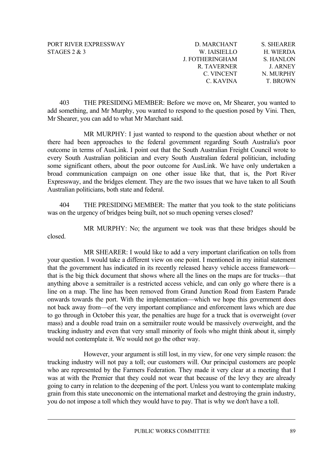| <b>S. SHEARER</b> |
|-------------------|
| H. WIERDA         |
| S. HANLON         |
| <b>J. ARNEY</b>   |
| N. MURPHY         |
| <b>T. BROWN</b>   |
|                   |

403 THE PRESIDING MEMBER: Before we move on, Mr Shearer, you wanted to add something, and Mr Murphy, you wanted to respond to the question posed by Vini. Then, Mr Shearer, you can add to what Mr Marchant said.

MR MURPHY: I just wanted to respond to the question about whether or not there had been approaches to the federal government regarding South Australia's poor outcome in terms of AusLink. I point out that the South Australian Freight Council wrote to every South Australian politician and every South Australian federal politician, including some significant others, about the poor outcome for AusLink. We have only undertaken a broad communication campaign on one other issue like that, that is, the Port River Expressway, and the bridges element. They are the two issues that we have taken to all South Australian politicians, both state and federal.

404 THE PRESIDING MEMBER: The matter that you took to the state politicians was on the urgency of bridges being built, not so much opening verses closed?

MR MURPHY: No; the argument we took was that these bridges should be closed.

MR SHEARER: I would like to add a very important clarification on tolls from your question. I would take a different view on one point. I mentioned in my initial statement that the government has indicated in its recently released heavy vehicle access framework that is the big thick document that shows where all the lines on the maps are for trucks—that anything above a semitrailer is a restricted access vehicle, and can only go where there is a line on a map. The line has been removed from Grand Junction Road from Eastern Parade onwards towards the port. With the implementation—which we hope this government does not back away from—of the very important compliance and enforcement laws which are due to go through in October this year, the penalties are huge for a truck that is overweight (over mass) and a double road train on a semitrailer route would be massively overweight, and the trucking industry and even that very small minority of fools who might think about it, simply would not contemplate it. We would not go the other way.

However, your argument is still lost, in my view, for one very simple reason: the trucking industry will not pay a toll; our customers will. Our principal customers are people who are represented by the Farmers Federation. They made it very clear at a meeting that I was at with the Premier that they could not wear that because of the levy they are already going to carry in relation to the deepening of the port. Unless you want to contemplate making grain from this state uneconomic on the international market and destroying the grain industry, you do not impose a toll which they would have to pay. That is why we don't have a toll.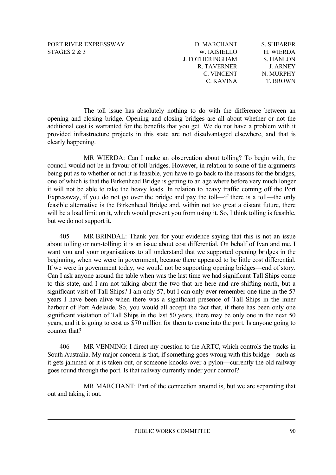| D. MARCHANT     | <b>S. SHEARER</b> |
|-----------------|-------------------|
| W. IAISIELLO    | H. WIERDA         |
| J. FOTHERINGHAM | S. HANLON         |
| R. TAVERNER     | <b>J. ARNEY</b>   |
| C. VINCENT      | N. MURPHY         |
| C. KAVINA       | <b>T. BROWN</b>   |

The toll issue has absolutely nothing to do with the difference between an opening and closing bridge. Opening and closing bridges are all about whether or not the additional cost is warranted for the benefits that you get. We do not have a problem with it provided infrastructure projects in this state are not disadvantaged elsewhere, and that is clearly happening.

MR WIERDA: Can I make an observation about tolling? To begin with, the council would not be in favour of toll bridges. However, in relation to some of the arguments being put as to whether or not it is feasible, you have to go back to the reasons for the bridges, one of which is that the Birkenhead Bridge is getting to an age where before very much longer it will not be able to take the heavy loads. In relation to heavy traffic coming off the Port Expressway, if you do not go over the bridge and pay the toll—if there is a toll—the only feasible alternative is the Birkenhead Bridge and, within not too great a distant future, there will be a load limit on it, which would prevent you from using it. So, I think tolling is feasible, but we do not support it.

405 MR BRINDAL: Thank you for your evidence saying that this is not an issue about tolling or non-tolling: it is an issue about cost differential. On behalf of Ivan and me, I want you and your organisations to all understand that we supported opening bridges in the beginning, when we were in government, because there appeared to be little cost differential. If we were in government today, we would not be supporting opening bridges—end of story. Can I ask anyone around the table when was the last time we had significant Tall Ships come to this state, and I am not talking about the two that are here and are shifting north, but a significant visit of Tall Ships? I am only 57, but I can only ever remember one time in the 57 years I have been alive when there was a significant presence of Tall Ships in the inner harbour of Port Adelaide. So, you would all accept the fact that, if there has been only one significant visitation of Tall Ships in the last 50 years, there may be only one in the next 50 years, and it is going to cost us \$70 million for them to come into the port. Is anyone going to counter that?

406 MR VENNING: I direct my question to the ARTC, which controls the tracks in South Australia. My major concern is that, if something goes wrong with this bridge—such as it gets jammed or it is taken out, or someone knocks over a pylon—currently the old railway goes round through the port. Is that railway currently under your control?

MR MARCHANT: Part of the connection around is, but we are separating that out and taking it out.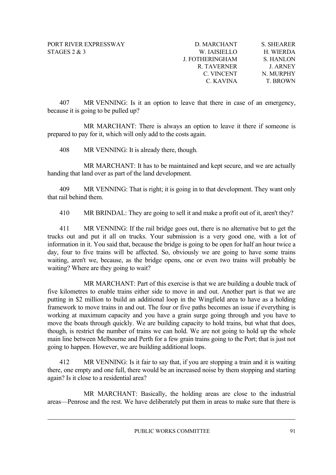| D. MARCHANT            | <b>S. SHEARER</b> |
|------------------------|-------------------|
| W. IAISIELLO           | H. WIERDA         |
| <b>J. FOTHERINGHAM</b> | S. HANLON         |
| R. TAVERNER            | <b>J. ARNEY</b>   |
| C. VINCENT             | N. MURPHY         |
| C. KAVINA              | <b>T. BROWN</b>   |

407 MR VENNING: Is it an option to leave that there in case of an emergency, because it is going to be pulled up?

MR MARCHANT: There is always an option to leave it there if someone is prepared to pay for it, which will only add to the costs again.

408 MR VENNING: It is already there, though.

MR MARCHANT: It has to be maintained and kept secure, and we are actually handing that land over as part of the land development.

409 MR VENNING: That is right; it is going in to that development. They want only that rail behind them.

410 MR BRINDAL: They are going to sell it and make a profit out of it, aren't they?

411 MR VENNING: If the rail bridge goes out, there is no alternative but to get the trucks out and put it all on trucks. Your submission is a very good one, with a lot of information in it. You said that, because the bridge is going to be open for half an hour twice a day, four to five trains will be affected. So, obviously we are going to have some trains waiting, aren't we, because, as the bridge opens, one or even two trains will probably be waiting? Where are they going to wait?

MR MARCHANT: Part of this exercise is that we are building a double track of five kilometres to enable trains either side to move in and out. Another part is that we are putting in \$2 million to build an additional loop in the Wingfield area to have as a holding framework to move trains in and out. The four or five paths becomes an issue if everything is working at maximum capacity and you have a grain surge going through and you have to move the boats through quickly. We are building capacity to hold trains, but what that does, though, is restrict the number of trains we can hold. We are not going to hold up the whole main line between Melbourne and Perth for a few grain trains going to the Port; that is just not going to happen. However, we are building additional loops.

412 MR VENNING: Is it fair to say that, if you are stopping a train and it is waiting there, one empty and one full, there would be an increased noise by them stopping and starting again? Is it close to a residential area?

MR MARCHANT: Basically, the holding areas are close to the industrial areas—Penrose and the rest. We have deliberately put them in areas to make sure that there is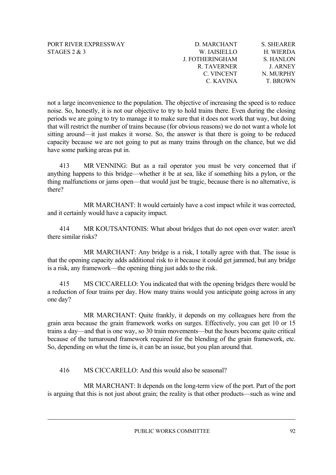| D. MARCHANT     | <b>S. SHEARER</b> |
|-----------------|-------------------|
| W. IAISIELLO    | H. WIERDA         |
| J. FOTHERINGHAM | S. HANLON         |
| R. TAVERNER     | <b>J. ARNEY</b>   |
| C. VINCENT      | N. MURPHY         |
| C. KAVINA       | <b>T. BROWN</b>   |

not a large inconvenience to the population. The objective of increasing the speed is to reduce noise. So, honestly, it is not our objective to try to hold trains there. Even during the closing periods we are going to try to manage it to make sure that it does not work that way, but doing that will restrict the number of trains because (for obvious reasons) we do not want a whole lot sitting around—it just makes it worse. So, the answer is that there is going to be reduced capacity because we are not going to put as many trains through on the chance, but we did have some parking areas put in.

413 MR VENNING: But as a rail operator you must be very concerned that if anything happens to this bridge—whether it be at sea, like if something hits a pylon, or the thing malfunctions or jams open—that would just be tragic, because there is no alternative, is there?

MR MARCHANT: It would certainly have a cost impact while it was corrected, and it certainly would have a capacity impact.

414 MR KOUTSANTONIS: What about bridges that do not open over water: aren't there similar risks?

MR MARCHANT: Any bridge is a risk, I totally agree with that. The issue is that the opening capacity adds additional risk to it because it could get jammed, but any bridge is a risk, any framework—the opening thing just adds to the risk.

415 MS CICCARELLO: You indicated that with the opening bridges there would be a reduction of four trains per day. How many trains would you anticipate going across in any one day?

MR MARCHANT: Quite frankly, it depends on my colleagues here from the grain area because the grain framework works on surges. Effectively, you can get 10 or 15 trains a day—and that is one way, so 30 train movements—but the hours become quite critical because of the turnaround framework required for the blending of the grain framework, etc. So, depending on what the time is, it can be an issue, but you plan around that.

416 MS CICCARELLO: And this would also be seasonal?

MR MARCHANT: It depends on the long-term view of the port. Part of the port is arguing that this is not just about grain; the reality is that other products—such as wine and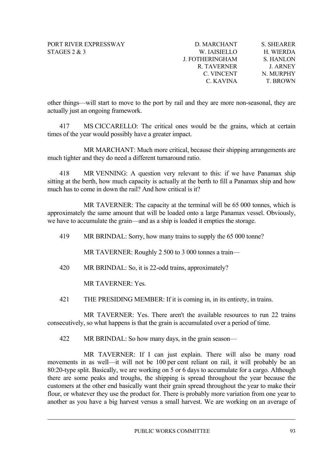| D. MARCHANT            | <b>S. SHEARER</b> |
|------------------------|-------------------|
| W. IAISIELLO           | H. WIERDA         |
| <b>J. FOTHERINGHAM</b> | <b>S. HANLON</b>  |
| R. TAVERNER            | <b>J. ARNEY</b>   |
| C. VINCENT             | N. MURPHY         |
| C. KAVINA              | <b>T. BROWN</b>   |

other things—will start to move to the port by rail and they are more non-seasonal, they are actually just an ongoing framework.

417 MS CICCARELLO: The critical ones would be the grains, which at certain times of the year would possibly have a greater impact.

MR MARCHANT: Much more critical, because their shipping arrangements are much tighter and they do need a different turnaround ratio.

418 MR VENNING: A question very relevant to this: if we have Panamax ship sitting at the berth, how much capacity is actually at the berth to fill a Panamax ship and how much has to come in down the rail? And how critical is it?

MR TAVERNER: The capacity at the terminal will be 65 000 tonnes, which is pproximately the same amount that will be loaded onto a large Panamax vessel. Obviously, a we have to accumulate the grain—and as a ship is loaded it empties the storage.

419 MR BRINDAL: Sorry, how many trains to supply the 65 000 tonne?

MR TAVERNER: Roughly 2 500 to 3 000 tonnes a train—

420 MR BRINDAL: So, it is 22-odd trains, approximately?

MR TAVERNER: Yes.

421 THE PRESIDING MEMBER: If it is coming in, in its entirety, in trains.

MR TAVERNER: Yes. There aren't the available resources to run 22 trains consecutively, so what happens is that the grain is accumulated over a period of time.

422 MR BRINDAL: So how many days, in the grain season—

MR TAVERNER: If I can just explain. There will also be many road movements in as well—it will not be 100 per cent reliant on rail, it will probably be an 80:20-type split. Basically, we are working on 5 or 6 days to accumulate for a cargo. Although there are some peaks and troughs, the shipping is spread throughout the year because the customers at the other end basically want their grain spread throughout the year to make their flour, or whatever they use the product for. There is probably more variation from one year to another as you have a big harvest versus a small harvest. We are working on an average of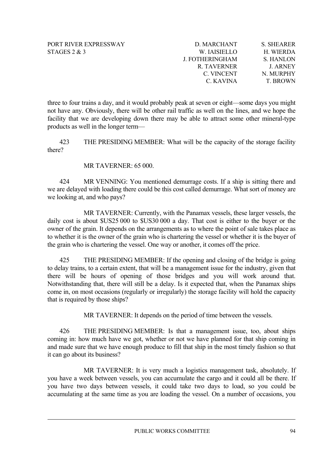| D. MARCHANT            | <b>S. SHEARER</b> |
|------------------------|-------------------|
| W. IAISIELLO           | H. WIERDA         |
| <b>J. FOTHERINGHAM</b> | S. HANLON         |
| R. TAVERNER            | <b>J. ARNEY</b>   |
| C. VINCENT             | N. MURPHY         |
| C. KAVINA              | <b>T. BROWN</b>   |

not have any. Obviously, there will be other rail traffic as well on the lines, and we hope the facility that we are developing down there may be able to attract some other mineral-type three to four trains a day, and it would probably peak at seven or eight—some days you might products as well in the longer term—

423 THE PRESIDING MEMBER: What will be the capacity of the storage facility there?

# MR TAVERNER: 65 000.

424 MR VENNING: You mentioned demurrage costs. If a ship is sitting there and we are delayed with loading there could be this cost called demurrage. What sort of money are we looking at, and who pays?

owner of the grain. It depends on the arrangements as to where the point of sale takes place as to whether it is the owner of the grain who is chartering the vessel or whether it is the buyer of MR TAVERNER: Currently, with the Panamax vessels, these larger vessels, the daily cost is about \$US25 000 to \$US30 000 a day. That cost is either to the buyer or the the grain who is chartering the vessel. One way or another, it comes off the price.

Notwithstanding that, there will still be a delay. Is it expected that, when the Panamax ships come in, on most occasions (regularly or irregularly) the storage facility will hold the capacity 425 THE PRESIDING MEMBER: If the opening and closing of the bridge is going to delay trains, to a certain extent, that will be a management issue for the industry, given that there will be hours of opening of those bridges and you will work around that. that is required by those ships?

MR TAVERNER: It depends on the period of time between the vessels.

coming in: how much have we got, whether or not we have planned for that ship coming in and made sure that we have enough produce to fill that ship in the most timely fashion so that 426 THE PRESIDING MEMBER: Is that a management issue, too, about ships it can go about its business?

accumulating at the same time as you are loading the vessel. On a number of occasions, you MR TAVERNER: It is very much a logistics management task, absolutely. If you have a week between vessels, you can accumulate the cargo and it could all be there. If you have two days between vessels, it could take two days to load, so you could be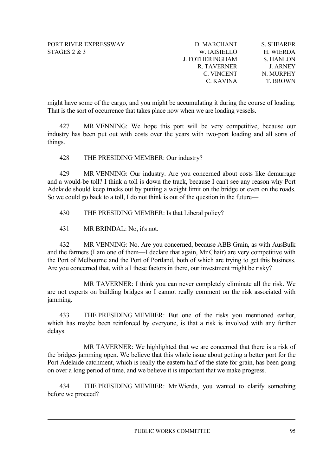| D. MARCHANT            | S. SHEARER       |
|------------------------|------------------|
| W. IAISIELLO           | H. WIERDA        |
| <b>J. FOTHERINGHAM</b> | <b>S. HANLON</b> |
| R. TAVERNER            | <b>J. ARNEY</b>  |
| C. VINCENT             | N. MURPHY        |
| C. KAVINA              | <b>T. BROWN</b>  |

might have some of the cargo, and you might be accumulating it during the course of loading. That is the sort of occurrence that takes place now when we are loading vessels.

427 MR VENNING: We hope this port will be very competitive, because our industry has been put out with costs over the years with two-port loading and all sorts of things.

428 THE PRESIDING MEMBER: Our industry?

429 MR VENNING: Our industry. Are you concerned about costs like demurrage and a would-be toll? I think a toll is down the track, because I can't see any reason why Port Adelaide should keep trucks out by putting a weight limit on the bridge or even on the roads. So we could go back to a toll, I do not think is out of the question in the future—

430 THE PRESIDING MEMBER: Is that Liberal policy?

431 MR BRINDAL: No, it's not.

432 MR VENNING: No. Are you concerned, because ABB Grain, as with AusBulk and the farmers (I am one of them—I declare that again, Mr Chair) are very competitive with the Port of Melbourne and the Port of Portland, both of which are trying to get this business. Are you concerned that, with all these factors in there, our investment might be risky?

MR TAVERNER: I think you can never completely eliminate all the risk. We are not experts on building bridges so I cannot really comment on the risk associated with jamming.

433 THE PRESIDING MEMBER: But one of the risks you mentioned earlier, which has maybe been reinforced by everyone, is that a risk is involved with any further delays.

MR TAVERNER: We highlighted that we are concerned that there is a risk of the bridges jamming open. We believe that this whole issue about getting a better port for the on over a long period of time, and we believe it is important that we make progress. Port Adelaide catchment, which is really the eastern half of the state for grain, has been going

434 THE PRESIDING MEMBER: Mr Wierda, you wanted to clarify something before we proceed?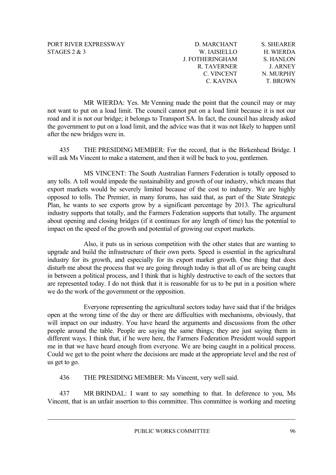| D. MARCHANT     | <b>S. SHEARER</b> |
|-----------------|-------------------|
| W. IAISIELLO    | H. WIERDA         |
| J. FOTHERINGHAM | S. HANLON         |
| R. TAVERNER     | <b>J. ARNEY</b>   |
| C. VINCENT      | N. MURPHY         |
| C. KAVINA       | <b>T. BROWN</b>   |

not want to put on a load limit. The council cannot put on a load limit because it is not our road and it is not our bridge; it belongs to Transport SA. In fact, the council has already asked the government to put on a load limit, and the advice was that it was not likely to happen until MR WIERDA: Yes. Mr Venning made the point that the council may or may after the new bridges were in.

435 THE PRESIDING MEMBER: For the record, that is the Birkenhead Bridge. I will ask Ms Vincent to make a statement, and then it will be back to you, gentlemen.

Plan, he wants to see exports grow by a significant percentage by 2013. The agricultural industry supports that totally, and the Farmers Federation supports that totally. The argument MS VINCENT: The South Australian Farmers Federation is totally opposed to any tolls. A toll would impede the sustainability and growth of our industry, which means that export markets would be severely limited because of the cost to industry. We are highly opposed to tolls. The Premier, in many forums, has said that, as part of the State Strategic about opening and closing bridges (if it continues for any length of time) has the potential to impact on the speed of the growth and potential of growing our export markets.

disturb me about the process that we are going through today is that all of us are being caught in between a political process, and I think that is highly destructive to each of the sectors that Also, it puts us in serious competition with the other states that are wanting to upgrade and build the infrastructure of their own ports. Speed is essential in the agricultural industry for its growth, and especially for its export market growth. One thing that does are represented today. I do not think that it is reasonable for us to be put in a position where we do the work of the government or the opposition.

different ways. I think that, if he were here, the Farmers Federation President would support me in that we have heard enough from everyone. We are being caught in a political process. Could we get to the point where the decisions are made at the appropriate level and the rest of us get to go. Everyone representing the agricultural sectors today have said that if the bridges open at the wrong time of the day or there are difficulties with mechanisms, obviously, that will impact on our industry. You have heard the arguments and discussions from the other people around the table. People are saying the same things; they are just saying them in

436 THE PRESIDING MEMBER: Ms Vincent, very well said.

437 MR BRINDAL: I want to say something to that. In deference to you, Ms Vincent, that is an unfair assertion to this committee. This committee is working and meeting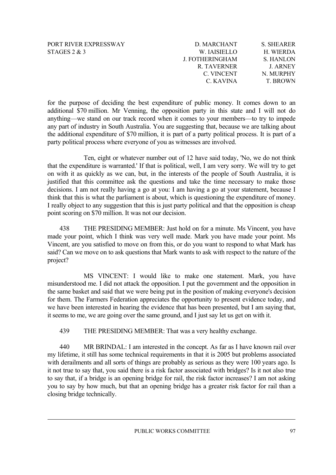| PORT RIVER EXPRESSWAY |
|-----------------------|
| STAGES $2 \& 3$       |

| D. MARCHANT            | <b>S. SHEARER</b> |
|------------------------|-------------------|
| W. IAISIELLO           | H. WIERDA         |
| <b>J. FOTHERINGHAM</b> | S. HANLON         |
| R. TAVERNER            | <b>J. ARNEY</b>   |
| C. VINCENT             | N. MURPHY         |
| C. KAVINA              | <b>T. BROWN</b>   |

anything—we stand on our track record when it comes to your members—to try to impede ny part of industry in South Australia. You are suggesting that, because we are talking about a for the purpose of deciding the best expenditure of public money. It comes down to an additional \$70 million. Mr Venning, the opposition party in this state and I will not do the additional expenditure of \$70 million, it is part of a party political process. It is part of a party political process where everyone of you as witnesses are involved.

decisions. I am not really having a go at you: I am having a go at your statement, because I think that this is what the parliament is about, which is questioning the expenditure of money. Ten, eight or whatever number out of 12 have said today, 'No, we do not think that the expenditure is warranted.' If that is political, well, I am very sorry. We will try to get on with it as quickly as we can, but, in the interests of the people of South Australia, it is justified that this committee ask the questions and take the time necessary to make those I really object to any suggestion that this is just party political and that the opposition is cheap point scoring on \$70 million. It was not our decision.

made your point, which I think was very well made. Mark you have made your point. Ms Vincent, are you satisfied to move on from this, or do you want to respond to what Mark has 438 THE PRESIDING MEMBER: Just hold on for a minute. Ms Vincent, you have said? Can we move on to ask questions that Mark wants to ask with respect to the nature of the project?

the same basket and said that we were being put in the position of making everyone's decision for them. The Farmers Federation appreciates the opportunity to present evidence today, and we have been interested in hearing the evidence that has been presented, but I am saying that, it seems to me, we are going over the same ground, and I just say let us get on with it. MS VINCENT: I would like to make one statement. Mark, you have misunderstood me. I did not attack the opposition. I put the government and the opposition in

439 THE PRESIDING MEMBER: That was a very healthy exchange.

it not true to say that, you said there is a risk factor associated with bridges? Is it not also true to say that, if a bridge is an opening bridge for rail, the risk factor increases? I am not asking 440 MR BRINDAL: I am interested in the concept. As far as I have known rail over my lifetime, it still has some technical requirements in that it is 2005 but problems associated with derailments and all sorts of things are probably as serious as they were 100 years ago. Is you to say by how much, but that an opening bridge has a greater risk factor for rail than a closing bridge technically.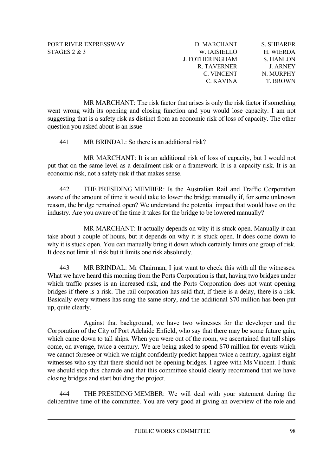| D. MARCHANT     | <b>S. SHEARER</b> |
|-----------------|-------------------|
| W. IAISIELLO    | H. WIERDA         |
| J. FOTHERINGHAM | S. HANLON         |
| R. TAVERNER     | <b>J. ARNEY</b>   |
| C. VINCENT      | N. MURPHY         |
| C. KAVINA       | <b>T. BROWN</b>   |

went wrong with its opening and closing function and you would lose capacity. I am not suggesting that is a safety risk as distinct from an economic risk of loss of capacity. The other MR MARCHANT: The risk factor that arises is only the risk factor if something question you asked about is an issue—

41 MR BRINDAL: So there is an additional risk?

MR MARCHANT: It is an additional risk of loss of capacity, but I would not put that on the same level as a derailment risk or a framework. It is a capacity risk. It is an economic risk, not a safety risk if that makes sense.

aware of the amount of time it would take to lower the bridge manually if, for some unknown reason, the bridge remained open? We understand the potential impact that would have on the 442 THE PRESIDING MEMBER: Is the Australian Rail and Traffic Corporation industry. Are you aware of the time it takes for the bridge to be lowered manually?

take about a couple of hours, but it depends on why it is stuck open. It does come down to why it is stuck open. You can manually bring it down which certainly limits one group of risk. MR MARCHANT: It actually depends on why it is stuck open. Manually it can It does not limit all risk but it limits one risk absolutely.

bridges if there is a risk. The rail corporation has said that, if there is a delay, there is a risk. Basically every witness has sung the same story, and the additional \$70 million has been put 443 MR BRINDAL: Mr Chairman, I just want to check this with all the witnesses. What we have heard this morning from the Ports Corporation is that, having two bridges under which traffic passes is an increased risk, and the Ports Corporation does not want opening up, quite clearly.

witnesses who say that there should not be opening bridges. I agree with Ms Vincent. I think we should stop this charade and that this committee should clearly recommend that we have Against that background, we have two witnesses for the developer and the Corporation of the City of Port Adelaide Enfield, who say that there may be some future gain, which came down to tall ships. When you were out of the room, we ascertained that tall ships come, on average, twice a century. We are being asked to spend \$70 million for events which we cannot foresee or which we might confidently predict happen twice a century, against eight closing bridges and start building the project.

deliberative time of the committee. You are very good at giving an overview of the role and 444 THE PRESIDING MEMBER: We will deal with your statement during the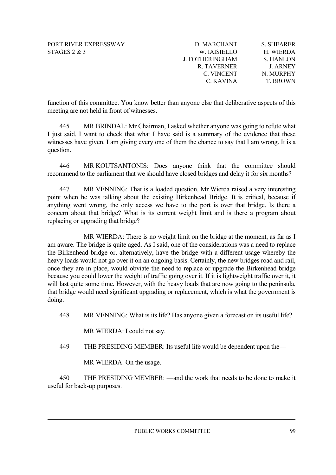| <b>S. SHEARER</b> |
|-------------------|
| H. WIERDA         |
| S. HANLON         |
| <b>J. ARNEY</b>   |
| N. MURPHY         |
| <b>T. BROWN</b>   |
|                   |

function of this committee. You know better than anyone else that deliberative aspects of this meeting are not held in front of witnesses.

I just said. I want to check that what I have said is a summary of the evidence that these witnesses have given. I am giving every one of them the chance to say that I am wrong. It is a 445 MR BRINDAL: Mr Chairman, I asked whether anyone was going to refute what question.

446 MR KOUTSANTONIS: Does anyone think that the committee should recommend to the parliament that we should have closed bridges and delay it for six months?

anything went wrong, the only access we have to the port is over that bridge. Is there a concern about that bridge? What is its current weight limit and is there a program about 447 MR VENNING: That is a loaded question. Mr Wierda raised a very interesting point when he was talking about the existing Birkenhead Bridge. It is critical, because if replacing or upgrading that bridge?

will last quite some time. However, with the heavy loads that are now going to the peninsula, that bridge would need significant upgrading or replacement, which is what the government is MR WIERDA: There is no weight limit on the bridge at the moment, as far as I am aware. The bridge is quite aged. As I said, one of the considerations was a need to replace the Birkenhead bridge or, alternatively, have the bridge with a different usage whereby the heavy loads would not go over it on an ongoing basis. Certainly, the new bridges road and rail, once they are in place, would obviate the need to replace or upgrade the Birkenhead bridge because you could lower the weight of traffic going over it. If it is lightweight traffic over it, it doing.

448 MR VENNING: What is its life? Has anyone given a forecast on its useful life?

MR WIERDA: I could not say.

449 THE PRESIDING MEMBER: Its useful life would be dependent upon the—

MR WIERDA: On the usage.

450 THE PRESIDING MEMBER: —and the work that needs to be done to make it useful for back-up purposes.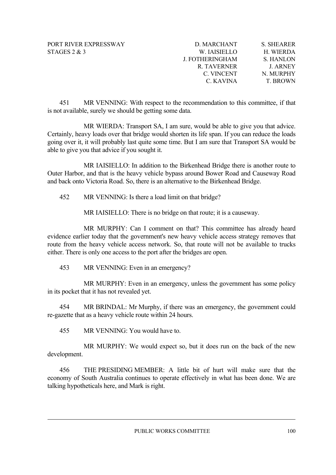| D. MARCHANT        | <b>S. SHEARER</b> |
|--------------------|-------------------|
| W. IAISIELLO       | H. WIERDA         |
| J. FOTHERINGHAM    | S. HANLON         |
| <b>R. TAVERNER</b> | <b>J. ARNEY</b>   |
| C. VINCENT         | N. MURPHY         |
| C. KAVINA          | <b>T. BROWN</b>   |

451 MR VENNING: With respect to the recommendation to this committee, if that is not available, surely we should be getting some data.

MR WIERDA: Transport SA, I am sure, would be able to give you that advice. Certainly, heavy loads over that bridge would shorten its life span. If you can reduce the loads going over it, it will probably last quite some time. But I am sure that Transport SA would be able to give you that advice if you sought it.

MR IAISIELLO: In addition to the Birkenhead Bridge there is another route to Outer Harbor, and that is the heavy vehicle bypass around Bower Road and Causeway Road and back onto Victoria Road. So, there is an alternative to the Birkenhead Bridge.

452 MR VENNING: Is there a load limit on that bridge?

MR IAISIELLO: There is no bridge on that route; it is a causeway.

MR MURPHY: Can I comment on that? This committee has already heard evidence earlier today that the government's new heavy vehicle access strategy removes that route from the heavy vehicle access network. So, that route will not be available to trucks either. There is only one access to the port after the bridges are open.

453 MR VENNING: Even in an emergency?

MR MURPHY: Even in an emergency, unless the government has some policy in its pocket that it has not revealed yet.

454 MR BRINDAL: Mr Murphy, if there was an emergency, the government could re-gazette that as a heavy vehicle route within 24 hours.

MR VENNING: You would have to. 455

MR MURPHY: We would expect so, but it does run on the back of the new development.

456 THE PRESIDING MEMBER: A little bit of hurt will make sure that the economy of South Australia continues to operate effectively in what has been done. We are talking hypotheticals here, and Mark is right.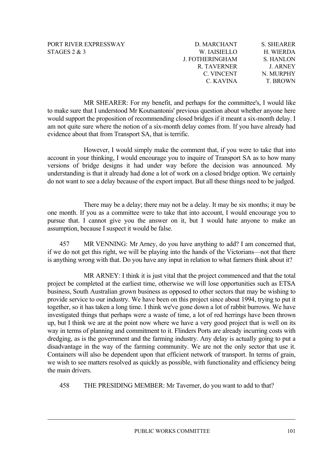| D. MARCHANT     | <b>S. SHEARER</b> |
|-----------------|-------------------|
| W. IAISIELLO    | H. WIERDA         |
| J. FOTHERINGHAM | S. HANLON         |
| R. TAVERNER     | <b>J. ARNEY</b>   |
| C. VINCENT      | N. MURPHY         |
| C. KAVINA       | <b>T. BROWN</b>   |

to make sure that I understood Mr Koutsantonis' previous question about whether anyone here would support the proposition of recommending closed bridges if it meant a six-month delay. I am not quite sure where the notion of a six-month delay comes from. If you have already had MR SHEARER: For my benefit, and perhaps for the committee's, I would like evidence about that from Transport SA, that is terrific.

versions of bridge designs it had under way before the decision was announced. My However, I would simply make the comment that, if you were to take that into account in your thinking, I would encourage you to inquire of Transport SA as to how many understanding is that it already had done a lot of work on a closed bridge option. We certainly do not want to see a delay because of the export impact. But all these things need to be judged.

There may be a delay; there may not be a delay. It may be six months; it may be one month. If you as a committee were to take that into account, I would encourage you to pursue that. I cannot give you the answer on it, but I would hate anyone to make an assumption, because I suspect it would be false.

457 MR VENNING: Mr Arney, do you have anything to add? I am concerned that, if we do not get this right, we will be playing into the hands of the Victorians—not that there is anything wrong with that. Do you have any input in relation to what farmers think about it?

dredging, as is the government and the farming industry. Any delay is actually going to put a disadvantage in the way of the farming community. We are not the only sector that use it. Containers will also be dependent upon that efficient network of transport. In terms of grain, we wish to see matters resolved as quickly as possible, with functionality and efficiency being the main drivers. MR ARNEY: I think it is just vital that the project commenced and that the total project be completed at the earliest time, otherwise we will lose opportunities such as ETSA business, South Australian grown business as opposed to other sectors that may be wishing to provide service to our industry. We have been on this project since about 1994, trying to put it together, so it has taken a long time. I think we've gone down a lot of rabbit burrows. We have investigated things that perhaps were a waste of time, a lot of red herrings have been thrown up, but I think we are at the point now where we have a very good project that is well on its way in terms of planning and commitment to it. Flinders Ports are already incurring costs with

458 THE PRESIDING MEMBER: Mr Taverner, do you want to add to that?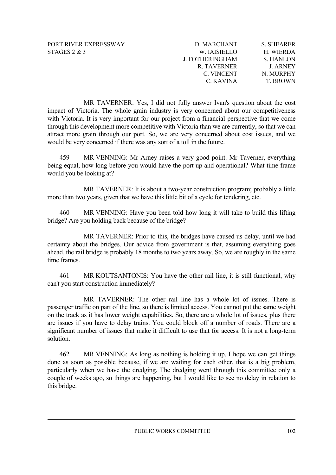| D. MARCHANT     | <b>S. SHEARER</b> |
|-----------------|-------------------|
| W. IAISIELLO    | H. WIERDA         |
| J. FOTHERINGHAM | S. HANLON         |
| R. TAVERNER     | <b>J. ARNEY</b>   |
| C. VINCENT      | N. MURPHY         |
| C. KAVINA       | <b>T. BROWN</b>   |

impact of Victoria. The whole grain industry is very concerned about our competitiveness with Victoria. It is very important for our project from a financial perspective that we come would be very concerned if there was any sort of a toll in the future. MR TAVERNER: Yes, I did not fully answer Ivan's question about the cost through this development more competitive with Victoria than we are currently, so that we can attract more grain through our port. So, we are very concerned about cost issues, and we

459 being equal, how long before you would have the port up and operational? What time frame would you be looking at? MR VENNING: Mr Arney raises a very good point. Mr Taverner, everything

MR TAVERNER: It is about a two-year construction program; probably a little more than two years, given that we have this little bit of a cycle for tendering, etc.

460 MR VENNING: Have you been told how long it will take to build this lifting bridge? Are you holding back because of the bridge?

MR TAVERNER: Prior to this, the bridges have caused us delay, until we had ahead, the rail bridge is probably 18 months to two years away. So, we are roughly in the same time frames. certainty about the bridges. Our advice from government is that, assuming everything goes

461 MR KOUTSANTONIS: You have the other rail line, it is still functional, why can't you start construction immediately?

passenger traffic on part of the line, so there is limited access. You cannot put the same weight on the track as it has lower weight capabilities. So, there are a whole lot of issues, plus there MR TAVERNER: The other rail line has a whole lot of issues. There is are issues if you have to delay trains. You could block off a number of roads. There are a significant number of issues that make it difficult to use that for access. It is not a long-term solution.

MR VENNING: As long as nothing is holding it up, I hope we can get things done as soon as possible because, if we are waiting for each other, that is a big problem, 462 particularly when we have the dredging. The dredging went through this committee only a couple of weeks ago, so things are happening, but I would like to see no delay in relation to this bridge.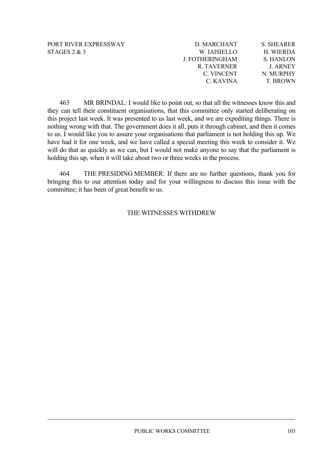| D. MARCHANT            | <b>S. SHEARER</b> |
|------------------------|-------------------|
| W. IAISIELLO           | H. WIERDA         |
| <b>J. FOTHERINGHAM</b> | S. HANLON         |
| R. TAVERNER            | <b>J. ARNEY</b>   |
| C. VINCENT             | N. MURPHY         |
| C. KAVINA              | <b>T. BROWN</b>   |

463 MR BRINDAL: I would like to point out, so that all the witnesses know this and they can tell their constituent organisations, that this committee only started deliberating on this project last week. It was presented to us last week, and we are expediting things. There is nothing wrong with that. The government does it all, puts it through cabinet, and then it comes will do that as quickly as we can, but I would not make anyone to say that the parliament is holding this up, when it will take about two or three weeks in the process. to us. I would like you to assure your organisations that parliament is not holding this up. We have had it for one week, and we have called a special meeting this week to consider it. We

464 THE PRESIDING MEMBER: If there are no further questions, thank you for bringing this to our attention today and for your willingness to discuss this issue with the committee; it has been of great benefit to us.

# THE WITNESSES WITHDREW